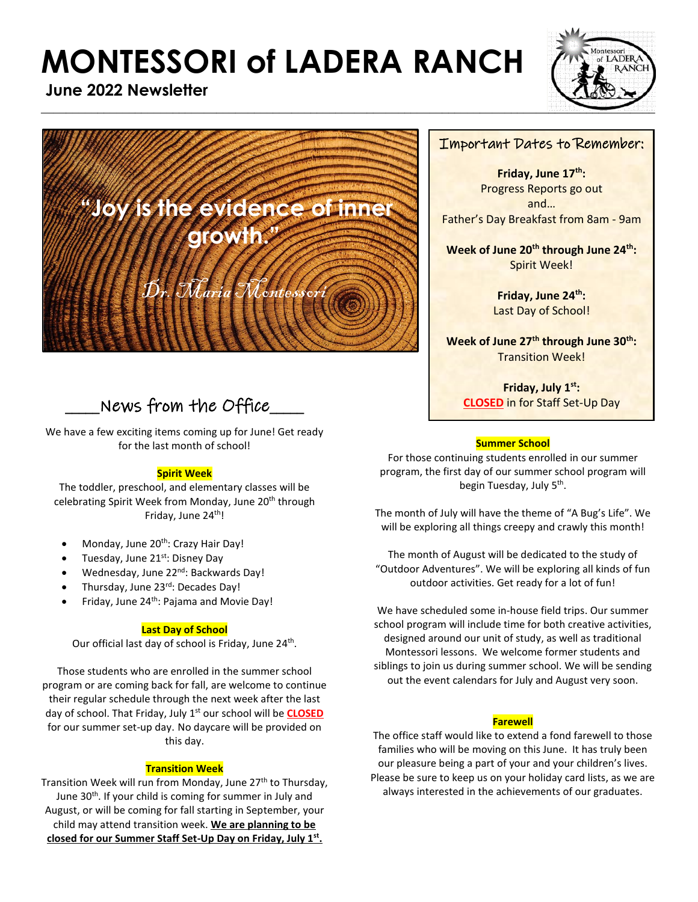# **MONTESSORI of LADERA RANCH**



**June 2022 Newsletter**



# $\Delta$  News from the Office  $\Box$

We have a few exciting items coming up for June! Get ready for the last month of school!

#### **Spirit Week**

The toddler, preschool, and elementary classes will be celebrating Spirit Week from Monday, June 20<sup>th</sup> through Friday, June 24<sup>th</sup>!

- Monday, June 20<sup>th</sup>: Crazy Hair Day!
- Tuesday, June 21st: Disney Day
- Wednesday, June 22<sup>nd</sup>: Backwards Day!
- Thursday, June 23rd: Decades Day!
- Friday, June 24<sup>th</sup>: Pajama and Movie Day!

#### **Last Day of School**

Our official last day of school is Friday, June 24<sup>th</sup>.

Those students who are enrolled in the summer school program or are coming back for fall, are welcome to continue their regular schedule through the next week after the last day of school. That Friday, July 1<sup>st</sup> our school will be **CLOSED** for our summer set-up day. No daycare will be provided on this day.

#### **Transition Week**

Transition Week will run from Monday, June 27<sup>th</sup> to Thursday, June 30<sup>th</sup>. If your child is coming for summer in July and August, or will be coming for fall starting in September, your child may attend transition week. **We are planning to be closed for our Summer Staff Set-Up Day on Friday, July 1st .**

#### Important Dates to Remember:

**Friday, June 17th:**  Progress Reports go out and… Father's Day Breakfast from 8am - 9am

**Week of June 20th through June 24th:** Spirit Week!

> **Friday, June 24th:** Last Day of School!

**Week of June 27th through June 30th:** Transition Week!

**Friday, July 1st: CLOSED** in for Staff Set-Up Day

#### **Summer School**

For those continuing students enrolled in our summer program, the first day of our summer school program will begin Tuesday, July 5<sup>th</sup>.

The month of July will have the theme of "A Bug's Life". We will be exploring all things creepy and crawly this month!

The month of August will be dedicated to the study of "Outdoor Adventures". We will be exploring all kinds of fun outdoor activities. Get ready for a lot of fun!

We have scheduled some in-house field trips. Our summer school program will include time for both creative activities, designed around our unit of study, as well as traditional Montessori lessons. We welcome former students and siblings to join us during summer school. We will be sending out the event calendars for July and August very soon.

#### **Farewell**

The office staff would like to extend a fond farewell to those families who will be moving on this June. It has truly been our pleasure being a part of your and your children's lives. Please be sure to keep us on your holiday card lists, as we are always interested in the achievements of our graduates.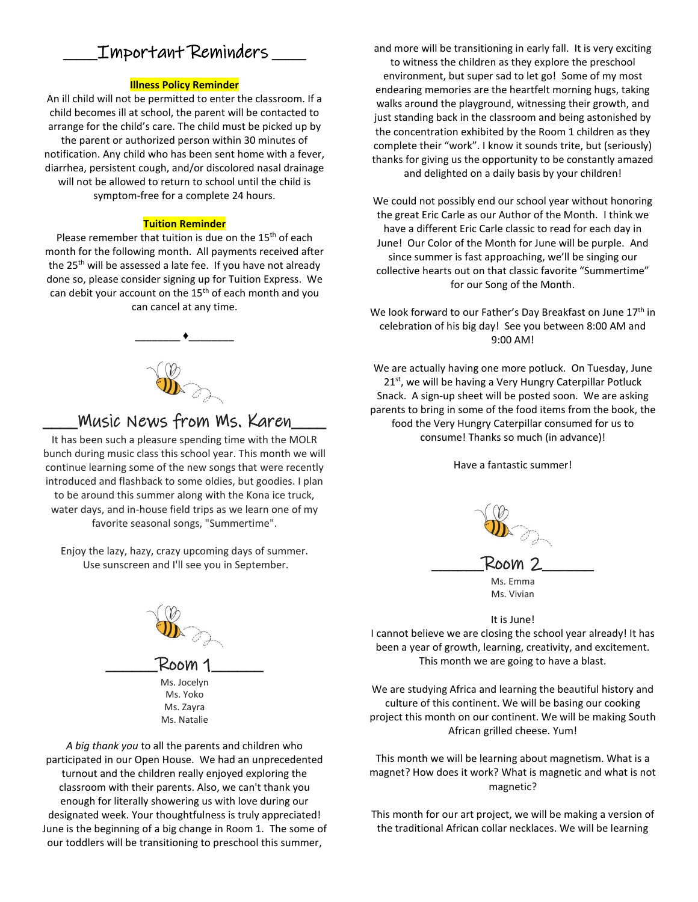## \_\_\_\_\_Important Reminders \_\_\_\_\_

#### **Illness Policy Reminder**

An ill child will not be permitted to enter the classroom. If a child becomes ill at school, the parent will be contacted to arrange for the child's care. The child must be picked up by the parent or authorized person within 30 minutes of notification. Any child who has been sent home with a fever, diarrhea, persistent cough, and/or discolored nasal drainage will not be allowed to return to school until the child is symptom-free for a complete 24 hours.

#### **Tuition Reminder**

Please remember that tuition is due on the 15<sup>th</sup> of each month for the following month. All payments received after the 25<sup>th</sup> will be assessed a late fee. If you have not already done so, please consider signing up for Tuition Express. We can debit your account on the 15<sup>th</sup> of each month and you can cancel at any time.

# \_\_\_\_\_\_\_\_ ♦\_\_\_\_\_\_\_\_

### \_\_\_\_Music News from Ms. Karen\_\_\_\_

It has been such a pleasure spending time with the MOLR bunch during music class this school year. This month we will continue learning some of the new songs that were recently introduced and flashback to some oldies, but goodies. I plan to be around this summer along with the Kona ice truck, water days, and in-house field trips as we learn one of my favorite seasonal songs, "Summertime".

Enjoy the lazy, hazy, crazy upcoming days of summer. Use sunscreen and I'll see you in September.



*A big thank you* to all the parents and children who participated in our Open House. We had an unprecedented turnout and the children really enjoyed exploring the classroom with their parents. Also, we can't thank you enough for literally showering us with love during our designated week. Your thoughtfulness is truly appreciated! June is the beginning of a big change in Room 1. The some of our toddlers will be transitioning to preschool this summer,

and more will be transitioning in early fall. It is very exciting to witness the children as they explore the preschool environment, but super sad to let go! Some of my most endearing memories are the heartfelt morning hugs, taking walks around the playground, witnessing their growth, and just standing back in the classroom and being astonished by the concentration exhibited by the Room 1 children as they complete their "work". I know it sounds trite, but (seriously) thanks for giving us the opportunity to be constantly amazed and delighted on a daily basis by your children!

We could not possibly end our school year without honoring the great Eric Carle as our Author of the Month. I think we have a different Eric Carle classic to read for each day in June! Our Color of the Month for June will be purple. And since summer is fast approaching, we'll be singing our collective hearts out on that classic favorite "Summertime" for our Song of the Month.

We look forward to our Father's Day Breakfast on June 17<sup>th</sup> in celebration of his big day! See you between 8:00 AM and 9:00 AM!

We are actually having one more potluck. On Tuesday, June 21<sup>st</sup>, we will be having a Very Hungry Caterpillar Potluck Snack. A sign-up sheet will be posted soon. We are asking parents to bring in some of the food items from the book, the food the Very Hungry Caterpillar consumed for us to consume! Thanks so much (in advance)!

Have a fantastic summer!



It is June!

I cannot believe we are closing the school year already! It has been a year of growth, learning, creativity, and excitement. This month we are going to have a blast.

We are studying Africa and learning the beautiful history and culture of this continent. We will be basing our cooking project this month on our continent. We will be making South African grilled cheese. Yum!

This month we will be learning about magnetism. What is a magnet? How does it work? What is magnetic and what is not magnetic?

This month for our art project, we will be making a version of the traditional African collar necklaces. We will be learning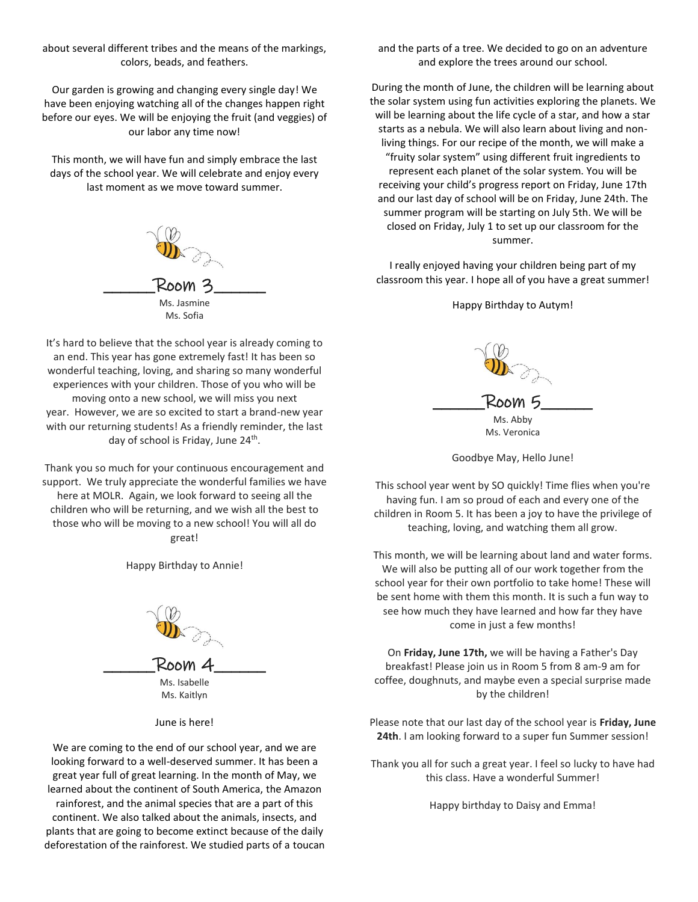about several different tribes and the means of the markings, colors, beads, and feathers.

Our garden is growing and changing every single day! We have been enjoying watching all of the changes happen right before our eyes. We will be enjoying the fruit (and veggies) of our labor any time now!

This month, we will have fun and simply embrace the last days of the school year. We will celebrate and enjoy every last moment as we move toward summer.



It's hard to believe that the school year is already coming to an end. This year has gone extremely fast! It has been so wonderful teaching, loving, and sharing so many wonderful experiences with your children. Those of you who will be moving onto a new school, we will miss you next year. However, we are so excited to start a brand-new year with our returning students! As a friendly reminder, the last day of school is Friday, June 24<sup>th</sup>.

Thank you so much for your continuous encouragement and support. We truly appreciate the wonderful families we have here at MOLR. Again, we look forward to seeing all the children who will be returning, and we wish all the best to those who will be moving to a new school! You will all do great!

Happy Birthday to Annie!



June is here!

We are coming to the end of our school year, and we are looking forward to a well-deserved summer. It has been a great year full of great learning. In the month of May, we learned about the continent of South America, the Amazon rainforest, and the animal species that are a part of this continent. We also talked about the animals, insects, and plants that are going to become extinct because of the daily deforestation of the rainforest. We studied parts of a toucan and the parts of a tree. We decided to go on an adventure and explore the trees around our school.

During the month of June, the children will be learning about the solar system using fun activities exploring the planets. We will be learning about the life cycle of a star, and how a star starts as a nebula. We will also learn about living and nonliving things. For our recipe of the month, we will make a "fruity solar system" using different fruit ingredients to represent each planet of the solar system. You will be receiving your child's progress report on Friday, June 17th and our last day of school will be on Friday, June 24th. The summer program will be starting on July 5th. We will be closed on Friday, July 1 to set up our classroom for the summer.

I really enjoyed having your children being part of my classroom this year. I hope all of you have a great summer!

Happy Birthday to Autym!



Goodbye May, Hello June!

This school year went by SO quickly! Time flies when you're having fun. I am so proud of each and every one of the children in Room 5. It has been a joy to have the privilege of teaching, loving, and watching them all grow.

This month, we will be learning about land and water forms. We will also be putting all of our work together from the school year for their own portfolio to take home! These will be sent home with them this month. It is such a fun way to see how much they have learned and how far they have come in just a few months!

On **Friday, June 17th,** we will be having a Father's Day breakfast! Please join us in Room 5 from 8 am-9 am for coffee, doughnuts, and maybe even a special surprise made by the children!

Please note that our last day of the school year is **Friday, June 24th**. I am looking forward to a super fun Summer session!

Thank you all for such a great year. I feel so lucky to have had this class. Have a wonderful Summer!

Happy birthday to Daisy and Emma!